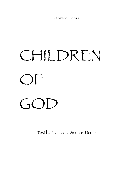Howard Hersh

## CHILDREN OF GOD

Text by Francesca Soriano Hersh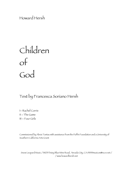Howard Hersh

## Children of God

## Text by Francesca Soriano Hersh

I– Rachel Corrie II – The Game III – Four Girls

Commissioned by Alexis Tantau with assistance from the Puffin Foundation and a University of Southern California Arts Grant

Snow Leopard Music / 13079 Daisy Blue Mine Road, Nevada City, CA 95959musicow@nccn.net / / www.howardhersh.net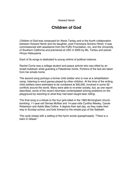Howard Hersh

## **Children of God**

*Children of God* was composed for Alexis Tantau and is the fourth collaboration between Howard Hersh and his daughter, poet Francesca Soriano Hersh. It was commissioned with assistance from the Puffin Foundation, Inc. and the University of Southern California and premiered at USC in 2005 by Ms, Tantau and pianist Hiroyo Hatsuyama.

Each of its songs is dedicated to young victims of political violence.

Rachel Corrie was a college student and peace activist who was killed by an Israeli bulldozer while guarding a Palestinian home. Portions of the text are taken from her emails home.

The second song portrays a former child soldier who is now at a rehabilitation camp, listening to word games played by other children. At the time of the writing, child soldiers were estimated to be numbered at 300,000, involved in some 30 conflicts around the world. Many were able to re-enter society, but, as one report described, some of the recent returnees contemplated solving problems on the playground by resorting to what they had been taught best: killing.

The final song is a tribute to the four girls killed in the 1963 Birmingham church bombing: 11-year-old Denise McNair and 14-year-olds Cynthia Wesley, Carole Robertson and Addie Mae Collins. It depicts their last day, as they make their way to Sunday school, and look forward to the simple joys of the Sabbath.

The cycle closes with a setting of the hymn words (paraphrased), "There is a balm in Gilead."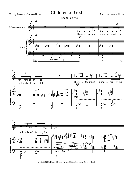







Music © 2005, Howard Hersh; Lyrics © 2005, Francesca Soriano Hersh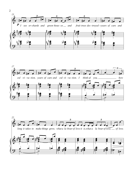





 $\overline{2}$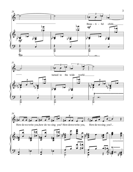



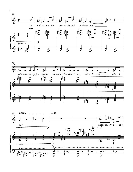





 $\overline{4}$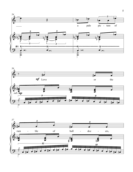



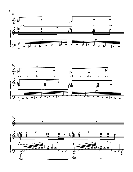





 $\sqrt{6}$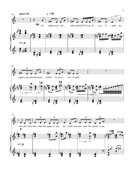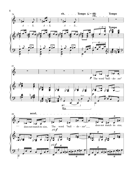



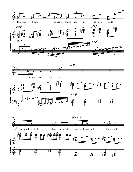



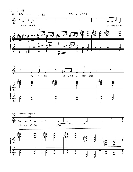



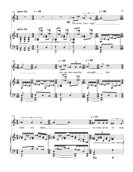



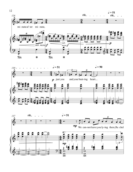



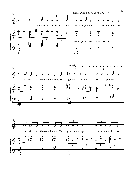

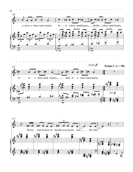

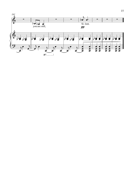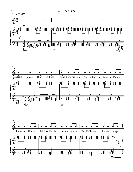



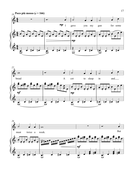



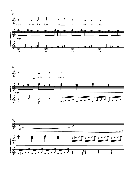



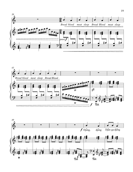



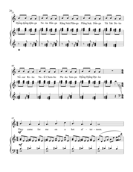



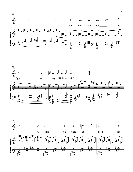



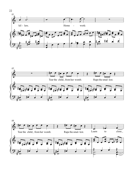



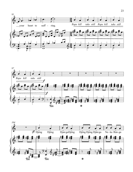



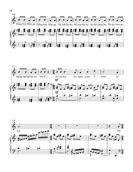



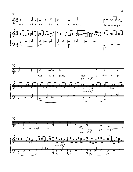



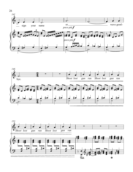



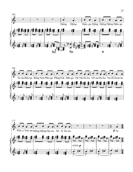



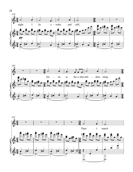



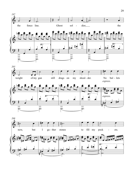

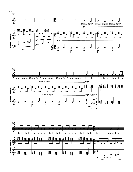



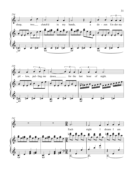



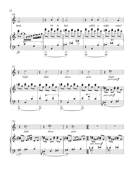



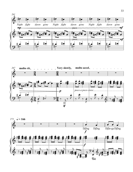



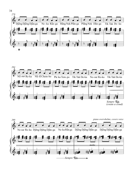



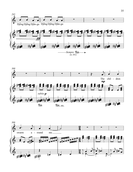



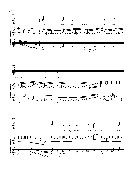



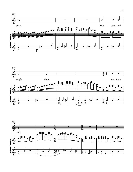



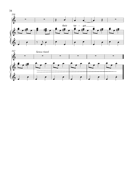

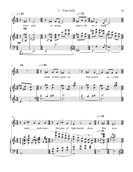



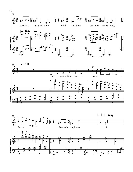



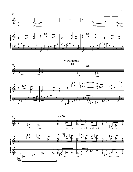

*35* Meno mosso  $\epsilon = 80$  rit.  $\mathbf{\Theta}$  $A \qquad \qquad \frac{1}{4} \text{O}$ <br>A - live  $\circ$   $\qquad \qquad \circ$   $\qquad \qquad \bullet$   $\qquad \qquad \bullet$   $\qquad \qquad \bullet$ 



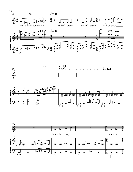



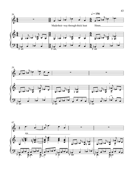



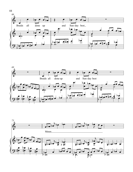



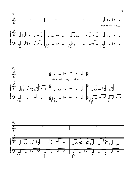



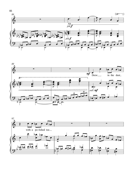



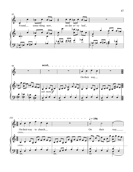

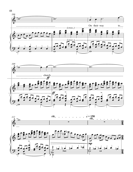



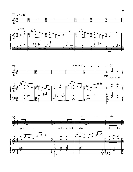



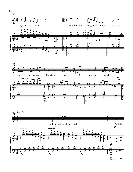





Led. \*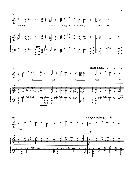



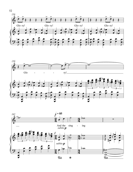



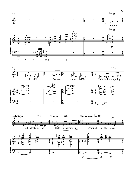





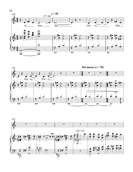